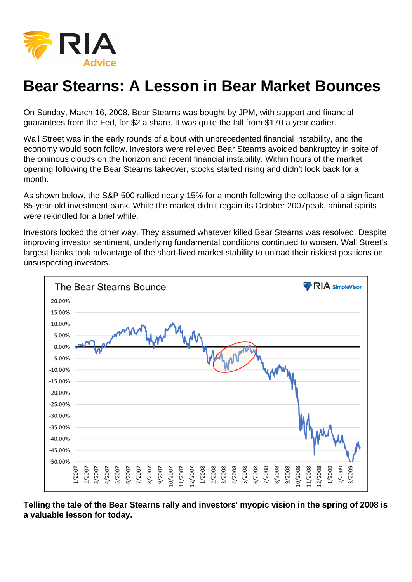# Bear Stearns: A Lesson in Bear Market Bounces

On Sunday, March 16, 2008, Bear Stearns was bought by JPM, with support and financial guarantees from the Fed, for \$2 a share. It was quite the fall from \$170 a year earlier.

Wall Street was in the early rounds of a bout with unprecedented financial instability, and the economy would soon follow. Investors were relieved Bear Stearns avoided bankruptcy in spite of the ominous clouds on the horizon and recent financial instability. Within hours of the market opening following the Bear Stearns takeover, stocks started rising and didn't look back for a month.

As shown below, the S&P 500 rallied nearly 15% for a month following the collapse of a significant 85-year-old investment bank. While the market didn't regain its October 2007peak, animal spirits were rekindled for a brief while.

Investors looked the other way. They assumed whatever killed Bear Stearns was resolved. Despite improving investor sentiment, underlying fundamental conditions continued to worsen. Wall Street's largest banks took advantage of the short-lived market stability to unload their riskiest positions on unsuspecting investors.

Telling the tale of the Bear Stearns rally and investors' myopic vision in the spring of 2008 is a valuable lesson for today.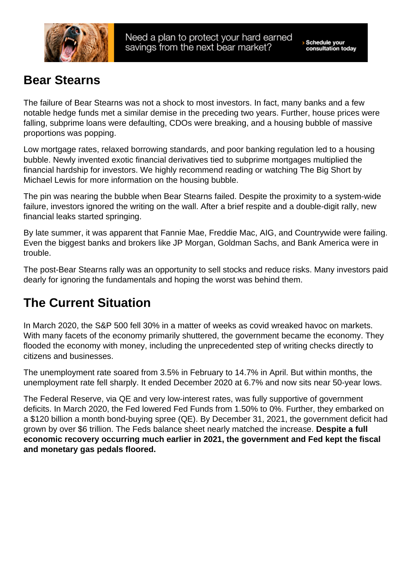### Bear Stearns

The failure of Bear Stearns was not a shock to most investors. In fact, many banks and a few notable hedge funds met a similar demise in the preceding two years. Further, house prices were falling, subprime loans were defaulting, CDOs were breaking, and a housing bubble of massive proportions was popping.

Low mortgage rates, relaxed borrowing standards, and poor banking regulation led to a housing bubble. Newly invented exotic financial derivatives tied to subprime mortgages multiplied the financial hardship for investors. We highly recommend reading or watching The Big Short by Michael Lewis for more information on the housing bubble.

The pin was nearing the bubble when Bear Stearns failed. Despite the proximity to a system-wide failure, investors ignored the writing on the wall. After a brief respite and a double-digit rally, new financial leaks started springing.

By late summer, it was apparent that Fannie Mae, Freddie Mac, AIG, and Countrywide were failing. Even the biggest banks and brokers like JP Morgan, Goldman Sachs, and Bank America were in trouble.

The post-Bear Stearns rally was an opportunity to sell stocks and reduce risks. Many investors paid dearly for ignoring the fundamentals and hoping the worst was behind them.

### The Current Situation

In March 2020, the S&P 500 fell 30% in a matter of weeks as covid wreaked havoc on markets. With many facets of the economy primarily shuttered, the government became the economy. They flooded the economy with money, including the unprecedented step of writing checks directly to citizens and businesses.

The unemployment rate soared from 3.5% in February to 14.7% in April. But within months, the unemployment rate fell sharply. It ended December 2020 at 6.7% and now sits near 50-year lows.

The Federal Reserve, via QE and very low-interest rates, was fully supportive of government deficits. In March 2020, the Fed lowered Fed Funds from 1.50% to 0%. Further, they embarked on a \$120 billion a month bond-buying spree (QE). By December 31, 2021, the government deficit had grown by over \$6 trillion. The Feds balance sheet nearly matched the increase. Despite a full economic recovery occurring much earlier in 2021, the government and Fed kept the fiscal and monetary gas pedals floored.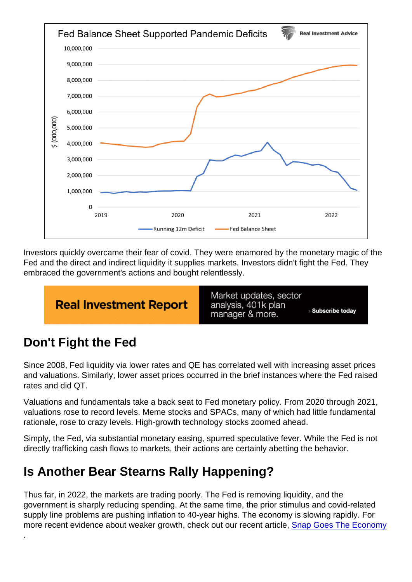Investors quickly overcame their fear of covid. They were enamored by the monetary magic of the Fed and the direct and indirect liquidity it supplies markets. Investors didn't fight the Fed. They embraced the government's actions and bought relentlessly.

# Don't Fight the Fed

.

Since 2008, Fed liquidity via lower rates and QE has correlated well with increasing asset prices and valuations. Similarly, lower asset prices occurred in the brief instances where the Fed raised rates and did QT.

Valuations and fundamentals take a back seat to Fed monetary policy. From 2020 through 2021, valuations rose to record levels. Meme stocks and SPACs, many of which had little fundamental rationale, rose to crazy levels. High-growth technology stocks zoomed ahead.

Simply, the Fed, via substantial monetary easing, spurred speculative fever. While the Fed is not directly trafficking cash flows to markets, their actions are certainly abetting the behavior.

## Is Another Bear Stearns Rally Happening?

Thus far, in 2022, the markets are trading poorly. The Fed is removing liquidity, and the government is sharply reducing spending. At the same time, the prior stimulus and covid-related supply line problems are pushing inflation to 40-year highs. The economy is slowing rapidly. For more recent evidence about weaker growth, check out our recent article, [Snap Goes The Economy](https://realinvestmentadvice.com/snap-goes-the-economy)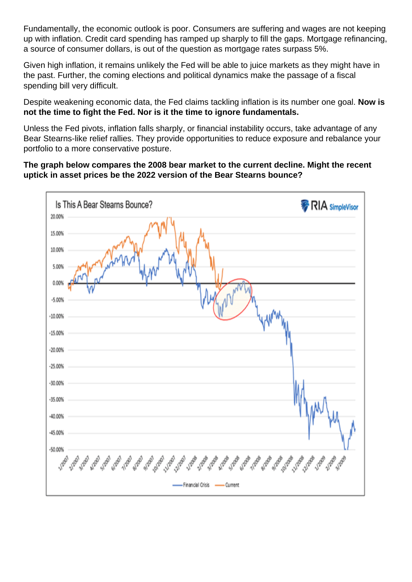Fundamentally, the economic outlook is poor. Consumers are suffering and wages are not keeping up with inflation. Credit card spending has ramped up sharply to fill the gaps. Mortgage refinancing, a source of consumer dollars, is out of the question as mortgage rates surpass 5%.

Given high inflation, it remains unlikely the Fed will be able to juice markets as they might have in the past. Further, the coming elections and political dynamics make the passage of a fiscal spending bill very difficult.

Despite weakening economic data, the Fed claims tackling inflation is its number one goal. Now is not the time to fight the Fed. Nor is it the time to ignore fundamentals.

Unless the Fed pivots, inflation falls sharply, or financial instability occurs, take advantage of any Bear Stearns-like relief rallies. They provide opportunities to reduce exposure and rebalance your portfolio to a more conservative posture.

The graph below compares the 2008 bear market to the current decline. Might the recent uptick in asset prices be the 2022 version of the Bear Stearns bounce?